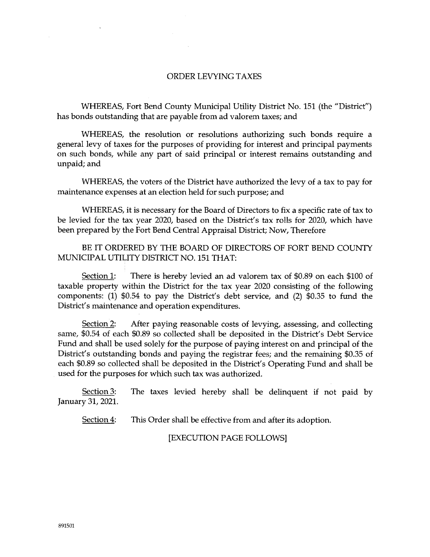## ORDER LEVYING TAXES

WHEREAS, Fort Bend County Municipal Utility District No. 151 (the "District") has bonds outstanding that are payable from ad valorem taxes; and

WHEREAS, the resolution or resolutions authorizing such bonds require a general levy of taxes for the purposes of providing for interest and principal payments on such bonds, while any part of said principal or interest remains outstanding and unpaid; and

WHEREAS, the voters of the District have authorized the levy of a tax to pay for maintenance expenses at an election held for such purpose; and

WHEREAS, it is necessary for the Board of Directors to fix a specific rate of tax to be levied for the tax year 2020, based on the District's tax rolls for 2020, which have been prepared by the Fort Bend Central Appraisal District; Now, Therefore

BE IT ORDERED BY THE BOARD OF DIRECTORS OF FORT BEND COUNTY MUNICIPAL UTILITY DISTRICT NO. 151 THAT:

Section 1: There is hereby levied an ad valorem tax of \$0.89 on each \$100 of taxable property within the District for the tax year 2020 consisting of the following components: (1) \$0.54 to pay the District's debt service, and (2) \$0.35 to fund the District's maintenance and operation expenditures.

Section 2: After paying reasonable costs of levying, assessing, and collecting same, \$0.54 of each \$0.89 so collected shall be deposited in the District's Debt Service Fund and shall be used solely for the purpose of paying interest on and principal of the District's outstanding bonds and paying the registrar fees; and the remaining \$0.35 of each \$0.89 so collected shall be deposited in the District's Operating Fund and shall be used for the purposes for which such tax was authorized.

 $Section 3$ : The taxes levied hereby shall be delinquent if not paid by January 31, 2021.

Section 4: This Order shall be effective from and after its adoption.

[EXECUTION PAGE FOLLOWS]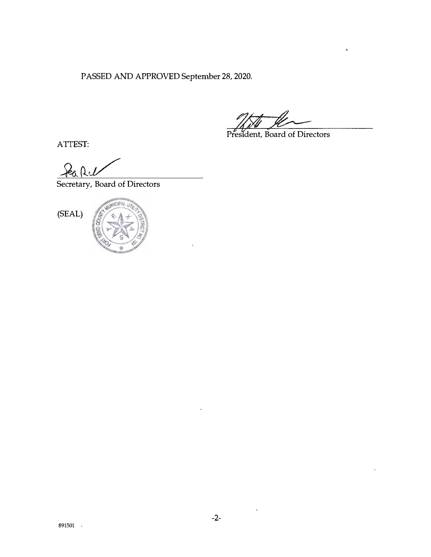PASSED AND APPROVED September 28, 2020.

President, Board of Directors

ATIEST:

Secretary, Board of Directors





 $\hat{\mathcal{S}}$